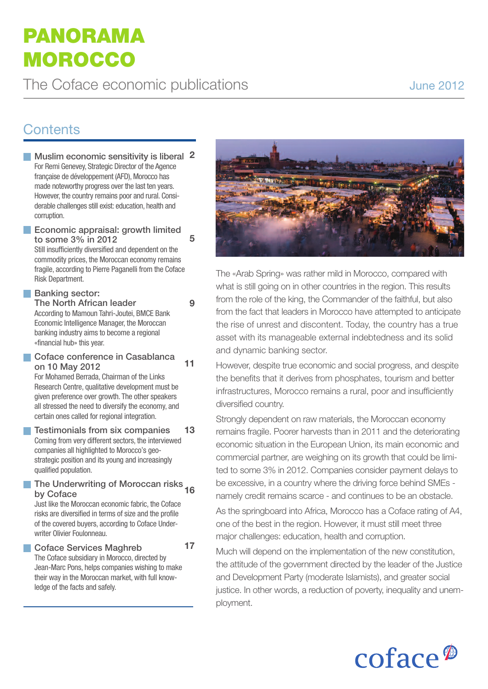# **Panorama moroCCo**

# **Contents**

**Muslim economic sensitivity is liberal 2** For Remi Genevey, Strategic Director of the Agence française de développement (AFD), Morocco has made noteworthy progress over the last ten years. However, the country remains poor and rural. Considerable challenges still exist: education, health and corruption. **Economic appraisal: growth limited 5**

**to some 3% in 2012** Still insufficiently diversified and dependent on the commodity prices, the Moroccan economy remains

fragile, according to Pierre Paganelli from the Coface Risk Department.

**9**

**17**

## **Banking** sector:

**The North African leader** According to Mamoun Tahri-Joutei, BMCE Bank Economic Intelligence Manager, the Moroccan banking industry aims to become a regional «financial hub» this year.

**Coface conference in Casablanca on 10 May 2012 11**

For Mohamed Berrada, Chairman of the Links Research Centre, qualitative development must be given preference over growth. The other speakers all stressed the need to diversify the economy, and certain ones called for regional integration.

#### **Testimonials from six companies** Coming from very different sectors, the interviewed companies all highlighted to Morocco's geostrategic position and its young and increasingly qualified population. **13**

### **The Underwriting of Moroccan risks 16 by Coface**

Just like the Moroccan economic fabric, the Coface risks are diversified in terms of size and the profile of the covered buyers, according to Coface Underwriter Olivier Foulonneau.

**Coface Services Maghreb**

The Coface subsidiary in Morocco, directed by Jean-Marc Pons, helps companies wishing to make their way in the Moroccan market, with full knowledge of the facts and safely.



The «Arab Spring» was rather mild in Morocco, compared with what is still going on in other countries in the region. This results from the role of the king, the Commander of the faithful, but also from the fact that leaders in Morocco have attempted to anticipate the rise of unrest and discontent. Today, the country has a true asset with its manageable external indebtedness and its solid and dynamic banking sector.

However, despite true economic and social progress, and despite the benefits that it derives from phosphates, tourism and better infrastructures, Morocco remains a rural, poor and insufficiently diversified country.

Strongly dependent on raw materials, the Moroccan economy remains fragile. Poorer harvests than in 2011 and the deteriorating economic situation in the European Union, its main economic and commercial partner, are weighing on its growth that could be limited to some 3% in 2012. Companies consider payment delays to be excessive, in a country where the driving force behind SMEs namely credit remains scarce - and continues to be an obstacle.

As the springboard into Africa, Morocco has a Coface rating of A4, one of the best in the region. However, it must still meet three major challenges: education, health and corruption.

Much will depend on the implementation of the new constitution, the attitude of the government directed by the leader of the Justice and Development Party (moderate Islamists), and greater social justice. In other words, a reduction of poverty, inequality and unemployment.

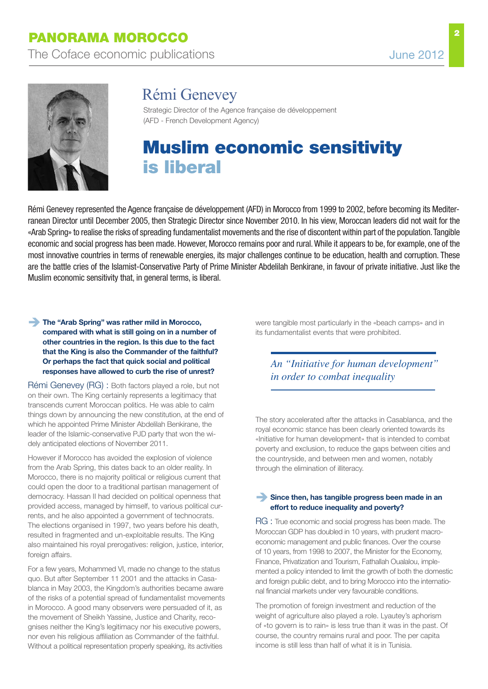

# Rémi Genevey

Strategic Director of the Agence française de développement (AFD - French Development Agency)

# **muslim economic sensitivity is liberal**

Rémi Genevey represented the Agence française de développement (AFD) in Morocco from 1999 to 2002, before becoming its Mediterranean Director until December 2005, then Strategic Director since November 2010. In his view, Moroccan leaders did not wait for the «Arab Spring» to realise the risks of spreading fundamentalist movements and the rise of discontent within part of the population. Tangible economic and social progress has been made. However, Morocco remains poor and rural.While it appears to be, for example, one of the most innovative countries in terms of renewable energies, its major challenges continue to be education, health and corruption. These are the battle cries of the Islamist-Conservative Party of Prime Minister Abdelilah Benkirane, in favour of private initiative. Just like the Muslim economic sensitivity that, in general terms, is liberal.

### **The "Arab Spring" was rather mild in Morocco, compared with what is still going on in a number of other countries in the region. Is this due to the fact that the King is also the Commander of the faithful? Or perhaps the fact that quick social and political responses have allowed to curb the rise of unrest?**

Rémi Genevey (RG) : Both factors played a role, but not on their own. The King certainly represents a legitimacy that transcends current Moroccan politics. He was able to calm things down by announcing the new constitution, at the end of which he appointed Prime Minister Abdelilah Benkirane, the leader of the Islamic-conservative PJD party that won the widely anticipated elections of November 2011.

However if Morocco has avoided the explosion of violence from the Arab Spring, this dates back to an older reality. In Morocco, there is no majority political or religious current that could open the door to a traditional partisan management of democracy. Hassan II had decided on political openness that provided access, managed by himself, to various political currents, and he also appointed a government of technocrats. The elections organised in 1997, two years before his death, resulted in fragmented and un-exploitable results. The King also maintained his royal prerogatives: religion, justice, interior, foreign affairs.

For a few years, Mohammed VI, made no change to the status quo. But after September 11 2001 and the attacks in Casablanca in May 2003, the Kingdom's authorities became aware of the risks of a potential spread of fundamentalist movements in Morocco. A good many observers were persuaded of it, as the movement of Sheikh Yassine, Justice and Charity, recognises neither the King's legitimacy nor his executive powers, nor even his religious affiliation as Commander of the faithful. Without a political representation properly speaking, its activities

were tangible most particularly in the «beach camps» and in its fundamentalist events that were prohibited.

*An "Initiative for human development" in order to combat inequality*

The story accelerated after the attacks in Casablanca, and the royal economic stance has been clearly oriented towards its «Initiative for human development» that is intended to combat poverty and exclusion, to reduce the gaps between cities and the countryside, and between men and women, notably through the elimination of illiteracy.

### **Since then, has tangible progress been made in an effort to reduce inequality and poverty?**

RG : True economic and social progress has been made. The Moroccan GDP has doubled in 10 years, with prudent macroeconomic management and public finances. Over the course of 10 years, from 1998 to 2007, the Minister for the Economy, Finance, Privatization and Tourism, Fathallah Oualalou, implemented a policy intended to limit the growth of both the domestic and foreign public debt, and to bring Morocco into the international financial markets under very favourable conditions.

The promotion of foreign investment and reduction of the weight of agriculture also played a role. Lyautey's aphorism of «to govern is to rain» is less true than it was in the past. Of course, the country remains rural and poor. The per capita income is still less than half of what it is in Tunisia.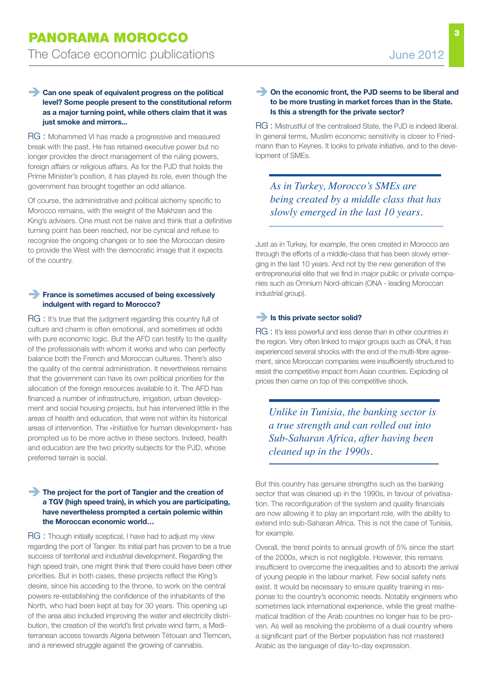### **Can one speak of equivalent progress on the political level? Some people present to the constitutional reform as a major turning point, while others claim that it was just smoke and mirrors...**

RG : Mohammed VI has made a progressive and measured break with the past. He has retained executive power but no longer provides the direct management of the ruling powers, foreign affairs or religious affairs. As for the PJD that holds the Prime Minister's position, it has played its role, even though the government has brought together an odd alliance.

Of course, the administrative and political alchemy specific to Morocco remains, with the weight of the Makhzen and the King's advisers. One must not be naive and think that a definitive turning point has been reached, nor be cynical and refuse to recognise the ongoing changes or to see the Moroccan desire to provide the West with the democratic image that it expects of the country.

### **France is sometimes accused of being excessively indulgent with regard to Morocco?**

RG : It's true that the judgment regarding this country full of culture and charm is often emotional, and sometimes at odds with pure economic logic. But the AFD can testify to the quality of the professionals with whom it works and who can perfectly balance both the French and Moroccan cultures. There's also the quality of the central administration. It nevertheless remains that the government can have its own political priorities for the allocation of the foreign resources available to it. The AFD has financed a number of infrastructure, irrigation, urban development and social housing projects, but has intervened little in the areas of health and education, that were not within its historical areas of intervention. The «Initiative for human development» has prompted us to be more active in these sectors. Indeed, health and education are the two priority subjects for the PJD, whose preferred terrain is social.

### **The project for the port of Tangier and the creation of a TGV (high speed train), in which you are participating, have nevertheless prompted a certain polemic within the Moroccan economic world…**

RG : Though initially sceptical, I have had to adjust my view regarding the port of Tangier. Its initial part has proven to be a true success of territorial and industrial development. Regarding the high speed train, one might think that there could have been other priorities. But in both cases, these projects reflect the King's desire, since his acceding to the throne, to work on the central powers re-establishing the confidence of the inhabitants of the North, who had been kept at bay for 30 years. This opening up of the area also included improving the water and electricity distribution, the creation of the world's first private wind farm, a Mediterranean access towards Algeria between Tétouan and Tlemcen, and a renewed struggle against the growing of cannabis.

### **On the economic front, the PJD seems to be liberal and to be more trusting in market forces than in the State. Is this a strength for the private sector?**

RG : Mistrustful of the centralised State, the PJD is indeed liberal. In general terms, Muslim economic sensitivity is closer to Friedmann than to Keynes. It looks to private initiative, and to the development of SMEs.

*As in Turkey, Morocco's SMEs are being created by a middle class that has slowly emerged in the last 10 years.*

Just as in Turkey, for example, the ones created in Morocco are through the efforts of a middle-class that has been slowly emerging in the last 10 years. And not by the new generation of the entrepreneurial elite that we find in major public or private companies such as Omnium Nord-africain (ONA - leading Moroccan industrial group).

### **Is this private sector solid?**

RG : It's less powerful and less dense than in other countries in the region. Very often linked to major groups such as ONA, it has experienced several shocks with the end of the multi-fibre agreement, since Moroccan companies were insufficiently structured to resist the competitive impact from Asian countries. Exploding oil prices then came on top of this competitive shock.

*Unlike in Tunisia, the banking sector is a true strength and can rolled out into Sub-Saharan Africa, after having been cleaned up in the 1990s.*

But this country has genuine strengths such as the banking sector that was cleaned up in the 1990s, in favour of privatisation. The reconfiguration of the system and quality financials are now allowing it to play an important role, with the ability to extend into sub-Saharan Africa. This is not the case of Tunisia, for example.

Overall, the trend points to annual growth of 5% since the start of the 2000s, which is not negligible. However, this remains insufficient to overcome the inequalities and to absorb the arrival of young people in the labour market. Few social safety nets exist. It would be necessary to ensure quality training in response to the country's economic needs. Notably engineers who sometimes lack international experience, while the great mathematical tradition of the Arab countries no longer has to be proven. As well as resolving the problems of a dual country where a significant part of the Berber population has not mastered Arabic as the language of day-to-day expression.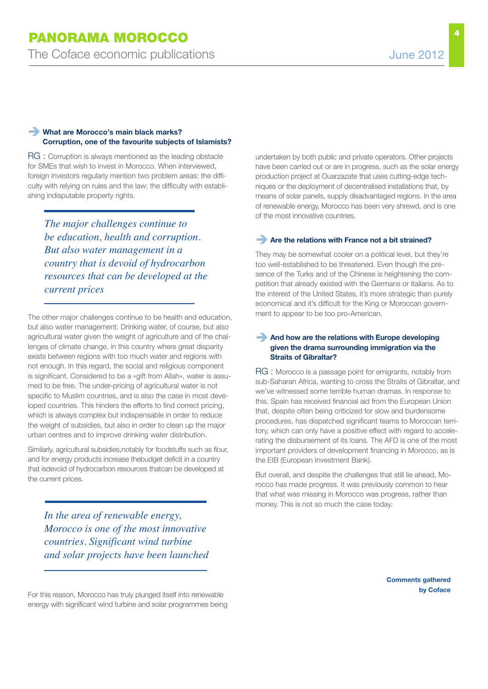### **What are Morocco's main black marks? Corruption, one of the favourite subjects of Islamists?**

RG : Corruption is always mentioned as the leading obstacle for SMEs that wish to invest in Morocco. When interviewed, foreign investors regularly mention two problem areas: the difficulty with relying on rules and the law; the difficulty with establishing indisputable property rights.

*The major challenges continue to be education, health and corruption. But also water management in a country that is devoid of hydrocarbon resources that can be developed at the current prices*

The other major challenges continue to be health and education, but also water management. Drinking water, of course, but also agricultural water given the weight of agriculture and of the challenges of climate change, in this country where great disparity exists between regions with too much water and regions with not enough. In this regard, the social and religious component is significant. Considered to be a «gift from Allah», water is assumed to be free. The under-pricing of agricultural water is not specific to Muslim countries, and is also the case in most developed countries. This hinders the efforts to find correct pricing, which is always complex but indispensable in order to reduce the weight of subsidies, but also in order to clean up the major urban centres and to improve drinking water distribution.

Similarly, agricultural subsidies,notably for foodstuffs such as flour, and for energy products increase thebudget deficit in a country that isdevoid of hydrocarbon resources thatcan be developed at the current prices.

*In the area of renewable energy, Morocco is one of the most innovative countries. Significant wind turbine and solar projects have been launched* undertaken by both public and private operators. Other projects have been carried out or are in progress, such as the solar energy production project at Ouarzazate that uses cutting-edge techniques or the deployment of decentralised installations that, by means of solar panels, supply disadvantaged regions. In the area of renewable energy, Morocco has been very shrewd, and is one of the most innovative countries.

### **Are the relations with France not <sup>a</sup> bit strained?**

They may be somewhat cooler on a political level, but they're too well-established to be threatened. Even though the presence of the Turks and of the Chinese is heightening the competition that already existed with the Germans or Italians. As to the interest of the United States, it's more strategic than purely economical and it's difficult for the King or Moroccan government to appear to be too pro-American.

### **And how are the relations with Europe developing given the drama surrounding immigration via the Straits of Gibraltar?**

RG : Morocco is a passage point for emigrants, notably from sub-Saharan Africa, wanting to cross the Straits of Gibraltar, and we've witnessed some terrible human dramas. In response to this, Spain has received financial aid from the European Union that, despite often being criticized for slow and burdensome procedures, has dispatched significant teams to Moroccan territory, which can only have a positive effect with regard to accelerating the disbursement of its loans. The AFD is one of the most important providers of development financing in Morocco, as is the EIB (European Investment Bank).

But overall, and despite the challenges that still lie ahead, Morocco has made progress. It was previously common to hear that what was missing in Morocco was progress, rather than money. This is not so much the case today.

> **Comments gathered by Coface**

For this reason, Morocco has truly plunged itself into renewable energy with significant wind turbine and solar programmes being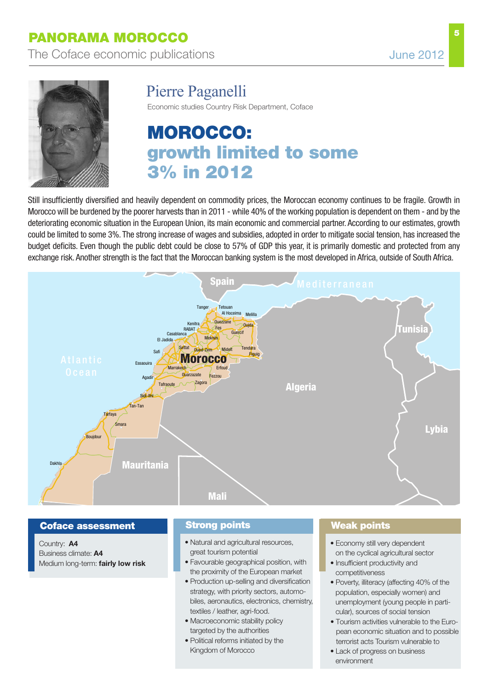**5**



# Pierre Paganelli

Economic studies Country Risk Department, Coface

# **moroCCo: growth limited to some 3% in 2012**

Still insufficiently diversified and heavily dependent on commodity prices, the Moroccan economy continues to be fragile. Growth in Morocco will be burdened by the poorer harvests than in 2011 - while 40% of the working population is dependent on them - and by the deteriorating economic situation in the European Union, its main economic and commercial partner. According to our estimates, growth could be limited to some 3%. The strong increase of wages and subsidies, adopted in order to mitigate social tension, has increased the budget deficits. Even though the public debt could be close to 57% of GDP this year, it is primarily domestic and protected from any exchange risk. Another strength is the fact that the Moroccan banking system is the most developed in Africa, outside of South Africa.



### **Coface assessment**

Country: **A4** Business climate: **A4** Medium long-term: **fairly low risk**

### **Strong points**

- Natural and agricultural resources, great tourism potential
- Favourable geographical position, with the proximity of the European market
- Production up-selling and diversification strategy, with priority sectors, automobiles, aeronautics, electronics, chemistry, textiles / leather, agri-food.
- Macroeconomic stability policy targeted by the authorities
- Political reforms initiated by the Kingdom of Morocco

### **Weak points**

- Economy still very dependent on the cyclical agricultural sector
- Insufficient productivity and competitiveness
- Poverty, illiteracy (affecting 40% of the population, especially women) and unemployment (young people in particular), sources of social tension
- Tourism activities vulnerable to the European economic situation and to possible terrorist acts Tourism vulnerable to
- Lack of progress on business environment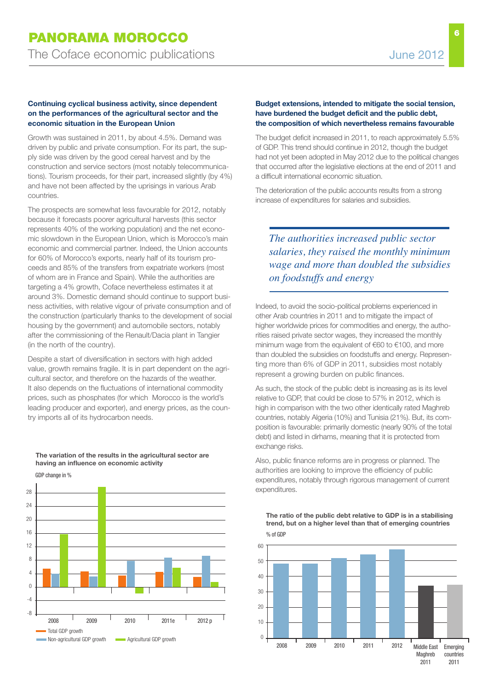### **Continuing cyclical business activity, since dependent on the performances of the agricultural sector and the economic situation in the European Union**

Growth was sustained in 2011, by about 4.5%. Demand was driven by public and private consumption. For its part, the supply side was driven by the good cereal harvest and by the construction and service sectors (most notably telecommunications). Tourism proceeds, for their part, increased slightly (by 4%) and have not been affected by the uprisings in various Arab countries.

The prospects are somewhat less favourable for 2012, notably because it forecasts poorer agricultural harvests (this sector represents 40% of the working population) and the net economic slowdown in the European Union, which is Morocco's main economic and commercial partner. Indeed, the Union accounts for 60% of Morocco's exports, nearly half of its tourism proceeds and 85% of the transfers from expatriate workers (most of whom are in France and Spain). While the authorities are targeting a 4% growth, Coface nevertheless estimates it at around 3%. Domestic demand should continue to support business activities, with relative vigour of private consumption and of the construction (particularly thanks to the development of social housing by the government) and automobile sectors, notably after the commissioning of the Renault/Dacia plant in Tangier (in the north of the country).

Despite a start of diversification in sectors with high added value, growth remains fragile. It is in part dependent on the agricultural sector, and therefore on the hazards of the weather. It also depends on the fluctuations of international commodity prices, such as phosphates (for which Morocco is the world's leading producer and exporter), and energy prices, as the country imports all of its hydrocarbon needs.



**The variation of the results in the agricultural sector are having an influence on economic activity**

### GDP change in %

### **Budget extensions, intended to mitigate the social tension, have burdened the budget deficit and the public debt, the composition of which nevertheless remains favourable**

The budget deficit increased in 2011, to reach approximately 5.5% of GDP. This trend should continue in 2012, though the budget had not yet been adopted in May 2012 due to the political changes that occurred after the legislative elections at the end of 2011 and a difficult international economic situation.

The deterioration of the public accounts results from a strong increase of expenditures for salaries and subsidies.

## *The authorities increased public sector salaries, they raised the monthly minimum wage and more than doubled the subsidies on foodstuffs and energy*

Indeed, to avoid the socio-political problems experienced in other Arab countries in 2011 and to mitigate the impact of higher worldwide prices for commodities and energy, the authorities raised private sector wages, they increased the monthly minimum wage from the equivalent of €60 to €100, and more than doubled the subsidies on foodstuffs and energy. Representing more than 6% of GDP in 2011, subsidies most notably represent a growing burden on public finances.

As such, the stock of the public debt is increasing as is its level relative to GDP, that could be close to 57% in 2012, which is high in comparison with the two other identically rated Maghreb countries, notably Algeria (10%) and Tunisia (21%). But, its composition is favourable: primarily domestic (nearly 90% of the total debt) and listed in dirhams, meaning that it is protected from exchange risks.

Also, public finance reforms are in progress or planned. The authorities are looking to improve the efficiency of public expenditures, notably through rigorous management of current expenditures.



**The ratio of the public debt relative to GDP is in a stabilising trend, but on a higher level than that of emerging countries**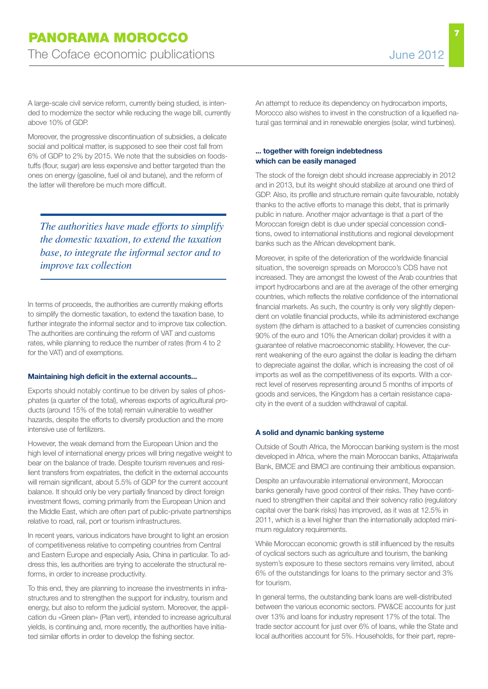A large-scale civil service reform, currently being studied, is intended to modernize the sector while reducing the wage bill, currently above 10% of GDP.

Moreover, the progressive discontinuation of subsidies, a delicate social and political matter, is supposed to see their cost fall from 6% of GDP to 2% by 2015. We note that the subsidies on foodstuffs (flour, sugar) are less expensive and better targeted than the ones on energy (gasoline, fuel oil and butane), and the reform of the latter will therefore be much more difficult.

*The authorities have made efforts to simplify the domestic taxation, to extend the taxation base, to integrate the informal sector and to improve tax collection*

In terms of proceeds, the authorities are currently making efforts to simplify the domestic taxation, to extend the taxation base, to further integrate the informal sector and to improve tax collection. The authorities are continuing the reform of VAT and customs rates, while planning to reduce the number of rates (from 4 to 2 for the VAT) and of exemptions.

#### **Maintaining high deficit in the external accounts...**

Exports should notably continue to be driven by sales of phosphates (a quarter of the total), whereas exports of agricultural products (around 15% of the total) remain vulnerable to weather hazards, despite the efforts to diversify production and the more intensive use of fertilizers.

However, the weak demand from the European Union and the high level of international energy prices will bring negative weight to bear on the balance of trade. Despite tourism revenues and resilient transfers from expatriates, the deficit in the external accounts will remain significant, about 5.5% of GDP for the current account balance. It should only be very partially financed by direct foreign investment flows, coming primarily from the European Union and the Middle East, which are often part of public-private partnerships relative to road, rail, port or tourism infrastructures.

In recent years, various indicators have brought to light an erosion of competitiveness relative to competing countries from Central and Eastern Europe and especially Asia, China in particular. To address this, les authorities are trying to accelerate the structural reforms, in order to increase productivity.

To this end, they are planning to increase the investments in infrastructures and to strengthen the support for industry, tourism and energy, but also to reform the judicial system. Moreover, the application du «Green plan» (Plan vert), intended to increase agricultural yields, is continuing and, more recently, the authorities have initiated similar efforts in order to develop the fishing sector.

An attempt to reduce its dependency on hydrocarbon imports, Morocco also wishes to invest in the construction of a liquefied natural gas terminal and in renewable energies (solar, wind turbines).

### **... together with foreign indebtedness which can be easily managed**

The stock of the foreign debt should increase appreciably in 2012 and in 2013, but its weight should stabilize at around one third of GDP. Also, its profile and structure remain quite favourable, notably thanks to the active efforts to manage this debt, that is primarily public in nature. Another major advantage is that a part of the Moroccan foreign debt is due under special concession conditions, owed to international institutions and regional development banks such as the African development bank.

Moreover, in spite of the deterioration of the worldwide financial situation, the sovereign spreads on Morocco's CDS have not increased. They are amongst the lowest of the Arab countries that import hydrocarbons and are at the average of the other emerging countries, which reflects the relative confidence of the international financial markets. As such, the country is only very slightly dependent on volatile financial products, while its administered exchange system (the dirham is attached to a basket of currencies consisting 90% of the euro and 10% the American dollar) provides it with a guarantee of relative macroeconomic stability. However, the current weakening of the euro against the dollar is leading the dirham to depreciate against the dollar, which is increasing the cost of oil imports as well as the competitiveness of its exports. With a correct level of reserves representing around 5 months of imports of goods and services, the Kingdom has a certain resistance capacity in the event of a sudden withdrawal of capital.

#### **A solid and dynamic banking systeme**

Outside of South Africa, the Moroccan banking system is the most developed in Africa, where the main Moroccan banks, Attajariwafa Bank, BMCE and BMCI are continuing their ambitious expansion.

Despite an unfavourable international environment, Moroccan banks generally have good control of their risks. They have continued to strengthen their capital and their solvency ratio (regulatory capital over the bank risks) has improved, as it was at 12.5% in 2011, which is a level higher than the internationally adopted minimum regulatory requirements.

While Moroccan economic growth is still influenced by the results of cyclical sectors such as agriculture and tourism, the banking system's exposure to these sectors remains very limited, about 6% of the outstandings for loans to the primary sector and 3% for tourism.

In general terms, the outstanding bank loans are well-distributed between the various economic sectors. PW&CE accounts for just over 13% and loans for industry represent 17% of the total. The trade sector account for just over 6% of loans, while the State and local authorities account for 5%. Households, for their part, repre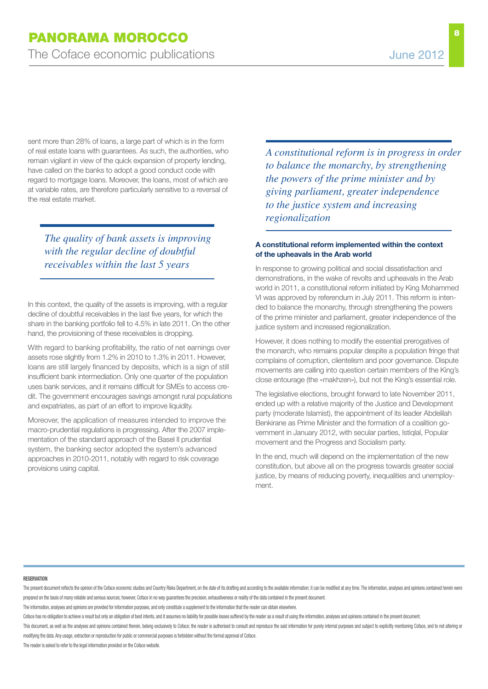sent more than 28% of loans, a large part of which is in the form of real estate loans with guarantees. As such, the authorities, who remain vigilant in view of the quick expansion of property lending, have called on the banks to adopt a good conduct code with regard to mortgage loans. Moreover, the loans, most of which are at variable rates, are therefore particularly sensitive to a reversal of the real estate market.

*The quality of bank assets is improving with the regular decline of doubtful receivables within the last 5 years*

In this context, the quality of the assets is improving, with a regular decline of doubtful receivables in the last five years, for which the share in the banking portfolio fell to 4.5% in late 2011. On the other hand, the provisioning of these receivables is dropping.

With regard to banking profitability, the ratio of net earnings over assets rose slightly from 1.2% in 2010 to 1.3% in 2011. However, loans are still largely financed by deposits, which is a sign of still insufficient bank intermediation. Only one quarter of the population uses bank services, and it remains difficult for SMEs to access credit. The government encourages savings amongst rural populations and expatriates, as part of an effort to improve liquidity.

Moreover, the application of measures intended to improve the macro-prudential regulations is progressing. After the 2007 implementation of the standard approach of the Basel II prudential system, the banking sector adopted the system's advanced approaches in 2010-2011, notably with regard to risk coverage provisions using capital.

*A constitutional reform is in progress in order to balance the monarchy, by strengthening the powers of the prime minister and by giving parliament, greater independence to the justice system and increasing regionalization*

### **A constitutional reform implemented within the context of the upheavals in the Arab world**

In response to growing political and social dissatisfaction and demonstrations, in the wake of revolts and upheavals in the Arab world in 2011, a constitutional reform initiated by King Mohammed VI was approved by referendum in July 2011. This reform is intended to balance the monarchy, through strengthening the powers of the prime minister and parliament, greater independence of the justice system and increased regionalization.

However, it does nothing to modify the essential prerogatives of the monarch, who remains popular despite a population fringe that complains of corruption, clientelism and poor governance. Dispute movements are calling into question certain members of the King's close entourage (the «makhzen»), but not the King's essential role.

The legislative elections, brought forward to late November 2011, ended up with a relative majority of the Justice and Development party (moderate Islamist), the appointment of its leader Abdelilah Benkirane as Prime Minister and the formation of a coalition government in January 2012, with secular parties, Istiqlal, Popular movement and the Progress and Socialism party.

In the end, much will depend on the implementation of the new constitution, but above all on the progress towards greater social justice, by means of reducing poverty, inequalities and unemployment.

#### **RESERVATION**

The present document reflects the opinion of the Coface economic studies and Country Risks Department, on the date of its drafting and according to the axailable information; it can be modified at any time. The information prepared on the basis of many reliable and serious sources; however, Coface in no way quarantees the precision, exhaustiveness or reality of the data contained in the present document.

The information, analyses and opinions are provided for information purposes, and only constitute a supplement to the information that the reader can obtain elsewhere.

Coface has no obligation to achieve a result but only an obligation of best intents, and it assumes no liability for possible losses suffered by the reader as a result of using the information, analyses and opinions contai

This document, as well as the analyses and opinions contained therein, belong exclusively to Coface; the reader is authorised to consult and reproduce the said information for purely internal purposes and subject to explic modifying the data. Any usage, extraction or reproduction for public or commercial purposes is forbidden without the formal approval of Coface.

The reader is asked to refer to the legal information provided on the Coface website.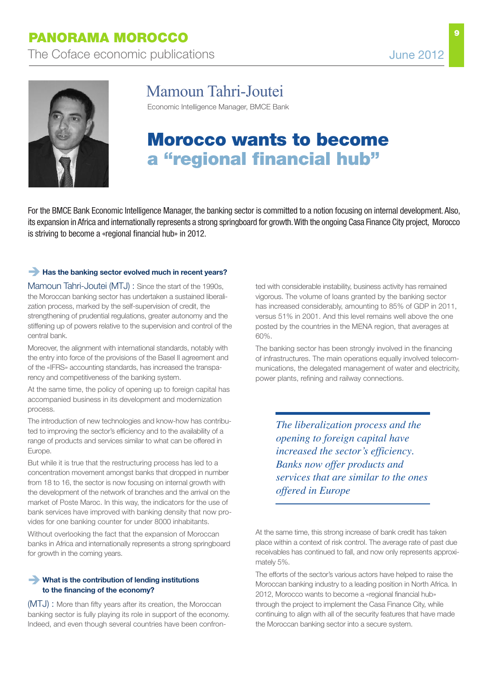

# Mamoun Tahri-Joutei

Economic Intelligence Manager, BMCE Bank

# **morocco wants to become a "regional financial hub"**

For the BMCE Bank Economic Intelligence Manager, the banking sector is committed to a notion focusing on internal development. Also, its expansion in Africa and internationally represents a strong springboard for growth.With the ongoing Casa Finance City project, Morocco is striving to become a «regional financial hub» in 2012.

### **Has the banking sector evolved much in recent years?**

Mamoun Tahri-Joutei (MTJ) : Since the start of the 1990s, the Moroccan banking sector has undertaken a sustained liberalization process, marked by the self-supervision of credit, the strengthening of prudential regulations, greater autonomy and the stiffening up of powers relative to the supervision and control of the central bank.

Moreover, the alignment with international standards, notably with the entry into force of the provisions of the Basel II agreement and of the «IFRS» accounting standards, has increased the transparency and competitiveness of the banking system.

At the same time, the policy of opening up to foreign capital has accompanied business in its development and modernization process.

The introduction of new technologies and know-how has contributed to improving the sector's efficiency and to the availability of a range of products and services similar to what can be offered in Europe.

But while it is true that the restructuring process has led to a concentration movement amongst banks that dropped in number from 18 to 16, the sector is now focusing on internal growth with the development of the network of branches and the arrival on the market of Poste Maroc. In this way, the indicators for the use of bank services have improved with banking density that now provides for one banking counter for under 8000 inhabitants.

Without overlooking the fact that the expansion of Moroccan banks in Africa and internationally represents a strong springboard for growth in the coming years.

### **What is the contribution of lending institutions to the financing of the economy?**

(MTJ) : More than fifty years after its creation, the Moroccan banking sector is fully playing its role in support of the economy. Indeed, and even though several countries have been confronted with considerable instability, business activity has remained vigorous. The volume of loans granted by the banking sector has increased considerably, amounting to 85% of GDP in 2011, versus 51% in 2001. And this level remains well above the one posted by the countries in the MENA region, that averages at 60%.

The banking sector has been strongly involved in the financing of infrastructures. The main operations equally involved telecommunications, the delegated management of water and electricity, power plants, refining and railway connections.

*The liberalization process and the opening to foreign capital have increased the sector's efficiency. Banks now offer products and services that are similar to the ones offered in Europe*

At the same time, this strong increase of bank credit has taken place within a context of risk control. The average rate of past due receivables has continued to fall, and now only represents approximately 5%.

The efforts of the sector's various actors have helped to raise the Moroccan banking industry to a leading position in North Africa. In 2012, Morocco wants to become a «regional financial hub» through the project to implement the Casa Finance City, while continuing to align with all of the security features that have made the Moroccan banking sector into a secure system.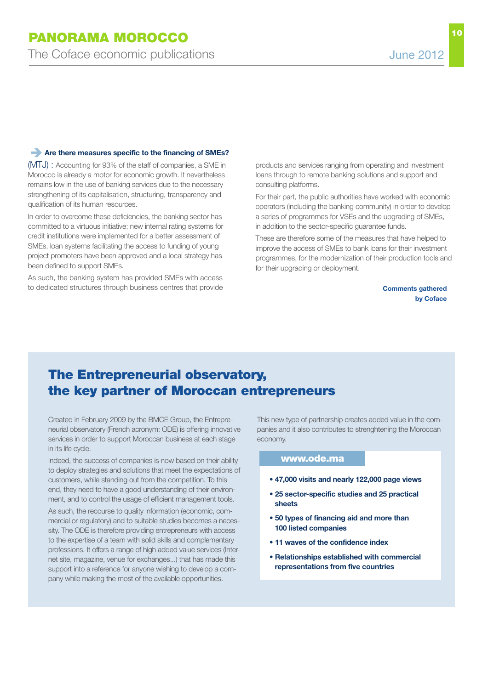### **Are there measures specific to the financing of SMEs?**

(MTJ) : Accounting for 93% of the staff of companies, a SME in Morocco is already a motor for economic growth. It nevertheless remains low in the use of banking services due to the necessary strengthening of its capitalisation, structuring, transparency and qualification of its human resources.

In order to overcome these deficiencies, the banking sector has committed to a virtuous initiative: new internal rating systems for credit institutions were implemented for a better assessment of SMEs, loan systems facilitating the access to funding of young project promoters have been approved and a local strategy has been defined to support SMEs.

As such, the banking system has provided SMEs with access to dedicated structures through business centres that provide products and services ranging from operating and investment loans through to remote banking solutions and support and consulting platforms.

For their part, the public authorities have worked with economic operators (including the banking community) in order to develop a series of programmes for VSEs and the upgrading of SMEs, in addition to the sector-specific guarantee funds.

These are therefore some of the measures that have helped to improve the access of SMEs to bank loans for their investment programmes, for the modernization of their production tools and for their upgrading or deployment.

> **Comments gathered by Coface**

## **The Entrepreneurial observatory, the key partner of moroccan entrepreneurs**

Created in February 2009 by the BMCE Group, the Entrepreneurial observatory (French acronym: ODE) is offering innovative services in order to support Moroccan business at each stage in its life cycle.

Indeed, the success of companies is now based on their ability to deploy strategies and solutions that meet the expectations of customers, while standing out from the competition. To this end, they need to have a good understanding of their environment, and to control the usage of efficient management tools.

As such, the recourse to quality information (economic, commercial or regulatory) and to suitable studies becomes a necessity. The ODE is therefore providing entrepreneurs with access to the expertise of a team with solid skills and complementary professions. It offers a range of high added value services (Internet site, magazine, venue for exchanges...) that has made this support into a reference for anyone wishing to develop a company while making the most of the available opportunities.

This new type of partnership creates added value in the companies and it also contributes to strenghtening the Moroccan economy.

#### **www.ode.ma**

- **• 47,000 visits and nearly 122,000 page views**
- **• 25 sector-specific studies and 25 practical sheets**
- **• 50 types of financing aid and more than 100 listed companies**
- **• 11 waves of the confidence index**
- **• Relationships established with commercial representations from five countries**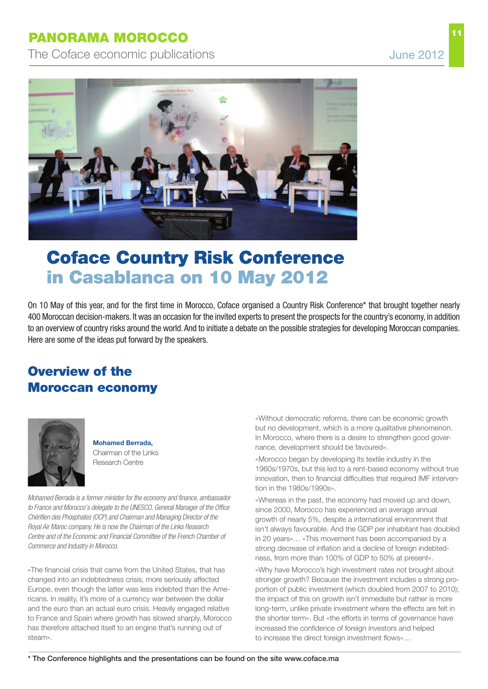The Coface economic publications The Coface economic publications



# **Coface Country risk Conference in Casablanca on 10 may 2012**

On 10 May of this year, and for the first time in Morocco, Coface organised a Country Risk Conference\* that brought together nearly 400 Moroccan decision-makers. It was an occasion for the invited experts to present the prospects for the country's economy, in addition to an overview of country risks around the world.And to initiate a debate on the possible strategies for developing Moroccan companies. Here are some of the ideas put forward by the speakers.

# **overview of the moroccan economy**



**Mohamed Berrada,** Chairman of the Links Research Centre

*Mohamed Berrada is a former minister for the economy and finance, ambassador to France and Morocco's delegate to the UNESCO, General Manager of the Office Chérifien des Phosphates (OCP) and Chairman and Managing Director of the Royal Air Maroc company. He is now the Chairman of the Links Research Centre and of the Economic and Financial Committee of the French Chamber of Commerce and Industry in Morocco.*

«The financial crisis that came from the United States, that has changed into an indebtedness crisis, more seriously affected Europe, even though the latter was less indebted than the Americans. In reality, it's more of a currency war between the dollar and the euro than an actual euro crisis. Heavily engaged relative to France and Spain where growth has slowed sharply, Morocco has therefore attached itself to an engine that's running out of steam».

«Without democratic reforms, there can be economic growth but no development, which is a more qualitative phenomenon. In Morocco, where there is a desire to strengthen good governance, development should be favoured».

«Morocco began by developing its textile industry in the 1960s/1970s, but this led to a rent-based economy without true innovation, then to financial difficulties that required IMF intervention in the 1980s/1990s».

«Whereas in the past, the economy had moved up and down, since 2000, Morocco has experienced an average annual growth of nearly 5%, despite a international environment that isn't always favourable. And the GDP per inhabitant has doubled in 20 years»… «This movement has been accompanied by a strong decrease of inflation and a decline of foreign indebtedness, from more than 100% of GDP to 50% at present».

«Why have Morocco's high investment rates not brought about stronger growth? Because the investment includes a strong proportion of public investment (which doubled from 2007 to 2010); the impact of this on growth isn't immediate but rather is more long-term, unlike private investment where the effects are felt in the shorter term». But «the efforts in terms of governance have increased the confidence of foreign investors and helped to increase the direct foreign investment flows»…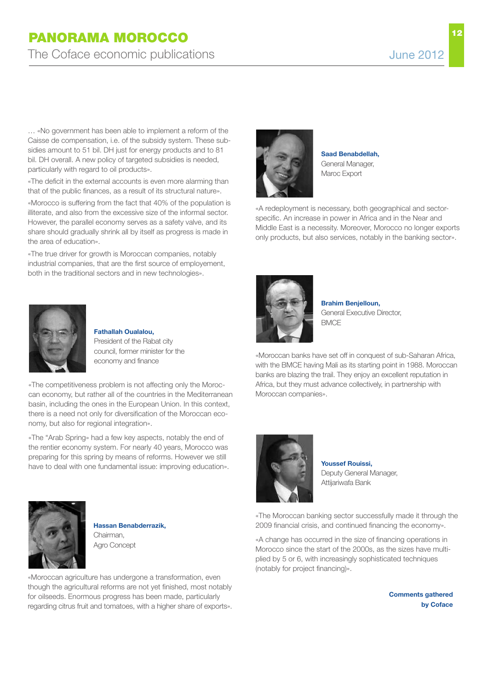… «No government has been able to implement a reform of the Caisse de compensation, i.e. of the subsidy system. These subsidies amount to 51 bil. DH just for energy products and to 81 bil. DH overall. A new policy of targeted subsidies is needed, particularly with regard to oil products».

«The deficit in the external accounts is even more alarming than that of the public finances, as a result of its structural nature».

«Morocco is suffering from the fact that 40% of the population is illiterate, and also from the excessive size of the informal sector. However, the parallel economy serves as a safety valve, and its share should gradually shrink all by itself as progress is made in the area of education».

«The true driver for growth is Moroccan companies, notably industrial companies, that are the first source of employement, both in the traditional sectors and in new technologies».



**Fathallah Oualalou,** President of the Rabat city council, former minister for the economy and finance

«The competitiveness problem is not affecting only the Moroccan economy, but rather all of the countries in the Mediterranean basin, including the ones in the European Union. In this context, there is a need not only for diversification of the Moroccan economy, but also for regional integration».

«The "Arab Spring» had a few key aspects, notably the end of the rentier economy system. For nearly 40 years, Morocco was preparing for this spring by means of reforms. However we still have to deal with one fundamental issue: improving education».



**Hassan Benabderrazik,** Chairman, Agro Concept

«Moroccan agriculture has undergone a transformation, even though the agricultural reforms are not yet finished, most notably for oilseeds. Enormous progress has been made, particularly regarding citrus fruit and tomatoes, with a higher share of exports».



**Saad Benabdellah,** General Manager, Maroc Export

«A redeployment is necessary, both geographical and sectorspecific. An increase in power in Africa and in the Near and Middle East is a necessity. Moreover, Morocco no longer exports only products, but also services, notably in the banking sector».



**Brahim Benjelloun,** General Executive Director, **BMCF** 

«Moroccan banks have set off in conquest of sub-Saharan Africa, with the BMCE having Mali as its starting point in 1988. Moroccan banks are blazing the trail. They enjoy an excellent reputation in Africa, but they must advance collectively, in partnership with Moroccan companies».



**Youssef Rouissi,** Deputy General Manager, Attijariwafa Bank

«The Moroccan banking sector successfully made it through the 2009 financial crisis, and continued financing the economy».

«A change has occurred in the size of financing operations in Morocco since the start of the 2000s, as the sizes have multiplied by 5 or 6, with increasingly sophisticated techniques (notably for project financing)».

> **Comments gathered by Coface**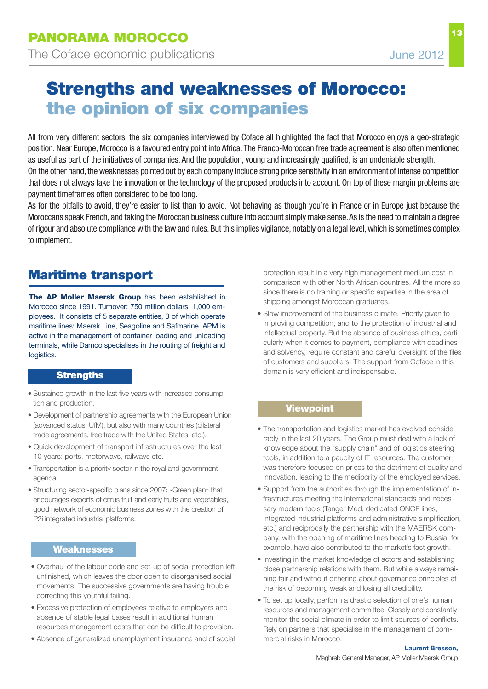**13**

# **Strengths and weaknesses of morocco: the opinion of six companies**

All from very different sectors, the six companies interviewed by Coface all highlighted the fact that Morocco enjoys a geo-strategic position. Near Europe, Morocco is a favoured entry point into Africa. The Franco-Moroccan free trade agreement is also often mentioned as useful as part of the initiatives of companies. And the population, young and increasingly qualified, is an undeniable strength. On the other hand, the weaknesses pointed out by each company include strong price sensitivity in an environment of intense competition that does not always take the innovation or the technology of the proposed products into account. On top of these margin problems are payment timeframes often considered to be too long.

As for the pitfalls to avoid, they're easier to list than to avoid. Not behaving as though you're in France or in Europe just because the Moroccans speak French, and taking the Moroccan business culture into account simply make sense.As is the need to maintain a degree of rigour and absolute compliance with the law and rules. But this implies vigilance, notably on a legal level,which is sometimes complex to implement.

# **maritime transport**

**The AP Moller Maersk Group** has been established in Morocco since 1991. Turnover: 750 million dollars; 1,000 employees. It consists of 5 separate entities, 3 of which operate maritime lines: Maersk Line, Seagoline and Safmarine. APM is active in the management of container loading and unloading terminals, while Damco specialises in the routing of freight and logistics.

### **Strengths**

- Sustained growth in the last five years with increased consumption and production.
- Development of partnership agreements with the European Union (advanced status, UfM), but also with many countries (bilateral trade agreements, free trade with the United States, etc.).
- Quick development of transport infrastructures over the last 10 years: ports, motorways, railways etc.
- Transportation is a priority sector in the royal and government agenda.
- Structuring sector-specific plans since 2007: «Green plan» that encourages exports of citrus fruit and early fruits and vegetables, good network of economic business zones with the creation of P2i integrated industrial platforms.

### **Weaknesses**

- Overhaul of the labour code and set-up of social protection left unfinished, which leaves the door open to disorganised social movements. The successive governments are having trouble correcting this youthful failing.
- Excessive protection of employees relative to employers and absence of stable legal bases result in additional human resources management costs that can be difficult to provision.
- Absence of generalized unemployment insurance and of social

protection result in a very high management medium cost in comparison with other North African countries. All the more so since there is no training or specific expertise in the area of shipping amongst Moroccan graduates.

• Slow improvement of the business climate. Priority given to improving competition, and to the protection of industrial and intellectual property. But the absence of business ethics, particularly when it comes to payment, compliance with deadlines and solvency, require constant and careful oversight of the files of customers and suppliers. The support from Coface in this domain is very efficient and indispensable.

### **Viewpoint**

- The transportation and logistics market has evolved considerably in the last 20 years. The Group must deal with a lack of knowledge about the "supply chain" and of logistics steering tools, in addition to a paucity of IT resources. The customer was therefore focused on prices to the detriment of quality and innovation, leading to the mediocrity of the employed services.
- Support from the authorities through the implementation of infrastructures meeting the international standards and necessary modern tools (Tanger Med, dedicated ONCF lines, integrated industrial platforms and administrative simplification, etc.) and reciprocally the partnership with the MAERSK company, with the opening of maritime lines heading to Russia, for example, have also contributed to the market's fast growth.
- Investing in the market knowledge of actors and establishing close partnership relations with them. But while always remaining fair and without dithering about governance principles at the risk of becoming weak and losing all credibility.
- To set up locally, perform a drastic selection of one's human resources and management committee. Closely and constantly monitor the social climate in order to limit sources of conflicts. Rely on partners that specialise in the management of commercial risks in Morocco.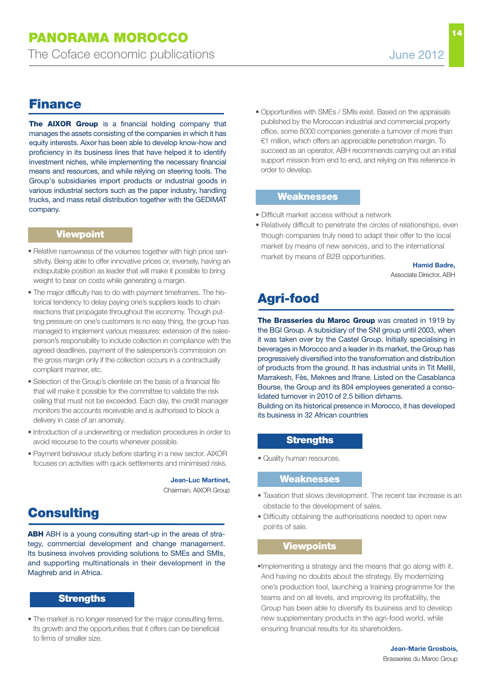# **Finance**

**The AIXOR Group** is a financial holding company that manages the assets consisting of the companies in which it has equity interests. Aixor has been able to develop know-how and proficiency in its business lines that have helped it to identify investment niches, while implementing the necessary financial means and resources, and while relying on steering tools. The Group's subsidiaries import products or industrial goods in various industrial sectors such as the paper industry, handling trucks, and mass retail distribution together with the GEDIMAT company.

## **Viewpoint**

- Relative narrowness of the volumes together with high price sensitivity. Being able to offer innovative prices or, inversely, having an indisputable position as leader that will make it possible to bring weight to bear on costs while generating <sup>a</sup> margin.
- The major difficulty has to do with payment timeframes. The historical tendency to delay paying one's suppliers leads to chain reactions that propagate throughout the economy. Though putting pressure on one's customers is no easy thing, the group has managed to implement various measures: extension of the salesperson's responsibility to include collection in compliance with the agreed deadlines, payment of the salesperson's commission on the gross margin only if the collection occurs in <sup>a</sup> contractually compliant manner, etc.
- Selection of the Group's clientele on the basis of <sup>a</sup> financial file that will make it possible for the committee to validate the risk ceiling that must not be exceeded. Each day, the credit manager monitors the accounts receivable and is authorised to block a delivery in case of an anomaly.
- Introduction of <sup>a</sup> underwriting or mediation procedures in order to avoid recourse to the courts whenever possible.
- Payment behaviour study before starting in <sup>a</sup> new sector. AIXOR focuses on activities with quick settlements and minimised risks.

**Jean-Luc Martinet,** Chairman, AIXOR Group

## **Consulting**

**ABH** ABH is a young consulting start-up in the areas of strategy, commercial development and change management. Its business involves providing solutions to SMEs and SMIs, and supporting multinationals in their development in the Maghreb and in Africa.

### **Strengths**

• The market is no longer reserved for the major consulting firms. Its growth and the opportunities that it offers can be beneficial to firms of smaller size.

• Opportunities with SMEs / SMIs exist. Based on the appraisals published by the Moroccan industrial and commercial property office, some 8000 companies generate a turnover of more than €1 million, which offers an appreciable penetration margin. To succeed as an operator, ABH recommends carrying out an initial support mission from end to end, and relying on this reference in order to develop.

### **Weaknesses**

- Difficult market access without a network
- Relatively difficult to penetrate the circles of relationships, even though companies truly need to adapt their offer to the local market by means of new services, and to the international market by means of B2B opportunities.

**Hamid Badre,**

# Associate Director, ABH

# **agri-food**

**The Brasseries du Maroc Group** was created in 1919 by the BGI Group. A subsidiary of the SNI group until 2003, when it was taken over by the Castel Group. Initially specialising in beverages in Morocco and a leader in its market, the Group has progressively diversified into the transformation and distribution of products from the ground. It has industrial units in Tit Mellil, Marrakesh, Fès, Meknes and Ifrane. Listed on the Casablanca Bourse, the Group and its 804 employees generated a consolidated turnover in 2010 of 2.5 billion dirhams.

Building on its historical presence in Morocco, it has developed its business in 32 African countries

### **Strengths**

• Quality human resources.

### **Weaknesses**

- Taxation that slows development. The recent tax increase is an obstacle to the development of sales.
- Difficulty obtaining the authorisations needed to open new points of sale.

### **Viewpoints**

•Implementing a strategy and the means that go along with it. And having no doubts about the strategy. By modernizing one's production tool, launching a training programme for the teams and on all levels, and improving its profitability, the Group has been able to diversify its business and to develop new supplementary products in the agri-food world, while ensuring financial results for its shareholders.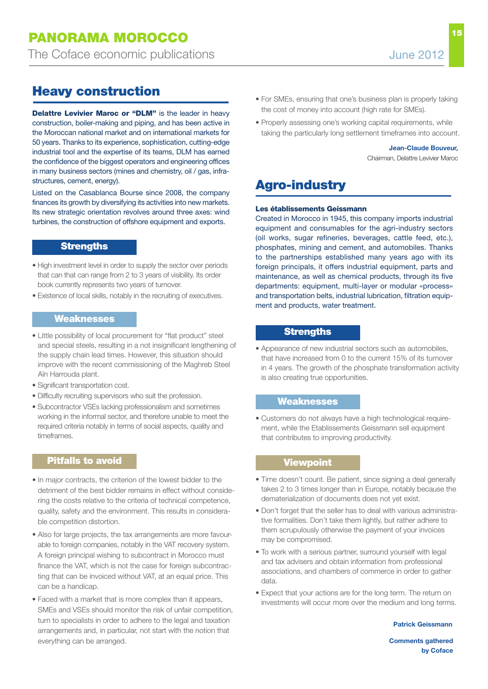# **Heavy construction**

**Delattre Levivier Maroc or "DLM"** is the leader in heavy construction, boiler-making and piping, and has been active in the Moroccan national market and on international markets for 50 years. Thanks to its experience, sophistication, cutting-edge industrial tool and the expertise of its teams, DLM has earned the confidence of the biggest operators and engineering offices in many business sectors (mines and chemistry, oil / gas, infrastructures, cement, energy).

Listed on the Casablanca Bourse since 2008, the company finances its growth by diversifying its activities into new markets. Its new strategic orientation revolves around three axes: wind turbines, the construction of offshore equipment and exports.

### **Strengths**

- High investment level in order to supply the sector over periods that can that can range from 2 to 3 years of visibility. Its order book currently represents two years of turnover.
- Existence of local skills, notably in the recruiting of executives.

### **Weaknesses**

- Little possibility of local procurement for "flat product" steel and special steels, resulting in a not insignificant lengthening of the supply chain lead times. However, this situation should improve with the recent commissioning of the Maghreb Steel Aïn Harrouda plant.
- Significant transportation cost.
- Difficulty recruiting supervisors who suit the profession.
- Subcontractor VSEs lacking professionalism and sometimes working in the informal sector, and therefore unable to meet the required criteria notably in terms of social aspects, quality and timeframes.

## **Pitfalls to avoid**

- In major contracts, the criterion of the lowest bidder to the detriment of the best bidder remains in effect without considering the costs relative to the criteria of technical competence, quality, safety and the environment. This results in considerable competition distortion.
- Also for large projects, the tax arrangements are more favourable to foreign companies, notably in the VAT recovery system. A foreign principal wishing to subcontract in Morocco must finance the VAT, which is not the case for foreign subcontracting that can be invoiced without VAT, at an equal price. This can be a handicap.
- Faced with a market that is more complex than it appears, SMEs and VSEs should monitor the risk of unfair competition, turn to specialists in order to adhere to the legal and taxation arrangements and, in particular, not start with the notion that everything can be arranged.
- For SMEs, ensuring that one's business plan is properly taking the cost of money into account (high rate for SMEs).
- Properly assessing one's working capital requirements, while taking the particularly long settlement timeframes into account.

## **Jean-Claude Bouveur,**

Chairman, Delattre Levivier Maroc

# **agro-industry**

#### **Les établissements Geissmann**

Created in Morocco in 1945, this company imports industrial equipment and consumables for the agri-industry sectors (oil works, sugar refineries, beverages, cattle feed, etc.), phosphates, mining and cement, and automobiles. Thanks to the partnerships established many years ago with its foreign principals, it offers industrial equipment, parts and maintenance, as well as chemical products, through its five departments: equipment, multi-layer or modular «process» and transportation belts, industrial lubrication, filtration equipment and products, water treatment.

### **Strengths**

• Appearance of new industrial sectors such as automobiles, that have increased from 0 to the current 15% of its turnover in 4 years. The growth of the phosphate transformation activity is also creating true opportunities.

### **Weaknesses**

• Customers do not always have a high technological requirement, while the Etablissements Geissmann sell equipment that contributes to improving productivity.

### **Viewpoint**

- Time doesn't count. Be patient, since signing a deal generally takes 2 to 3 times longer than in Europe, notably because the dematerialization of documents does not yet exist.
- Don't forget that the seller has to deal with various administrative formalities. Don't take them lightly, but rather adhere to them scrupulously otherwise the payment of your invoices may be compromised.
- To work with a serious partner, surround yourself with legal and tax advisers and obtain information from professional associations, and chambers of commerce in order to gather data.
- Expect that your actions are for the long term. The return on investments will occur more over the medium and long terms.

#### **Patrick Geissmann**

**Comments gathered by Coface**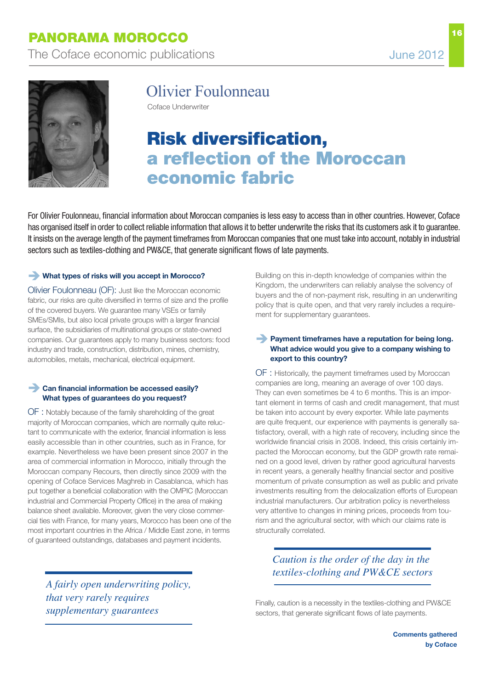

# Olivier Foulonneau

Coface Underwriter

# **risk diversification, a reflection of the moroccan economic fabric**

For Olivier Foulonneau, financial information about Moroccan companies is less easy to access than in other countries. However, Coface has organised itself in order to collect reliable information that allows it to better underwrite the risks that its customers ask it to guarantee. It insists on the average length of the payment timeframes from Moroccan companies that one must take into account, notably in industrial sectors such as textiles-clothing and PW&CE, that generate significant flows of late payments.

### **What types of risks will you accept in Morocco?**

Olivier Foulonneau (OF): Just like the Moroccan economic fabric, our risks are quite diversified in terms of size and the profile of the covered buyers. We guarantee many VSEs or family SMEs/SMIs, but also local private groups with a larger financial surface, the subsidiaries of multinational groups or state-owned companies. Our guarantees apply to many business sectors: food industry and trade, construction, distribution, mines, chemistry, automobiles, metals, mechanical, electrical equipment.

### **Can financial information be accessed easily? What types of guarantees do you request?**

OF : Notably because of the family shareholding of the great majority of Moroccan companies, which are normally quite reluctant to communicate with the exterior, financial information is less easily accessible than in other countries, such as in France, for example. Nevertheless we have been present since 2007 in the area of commercial information in Morocco, initially through the Moroccan company Recours, then directly since 2009 with the opening of Coface Services Maghreb in Casablanca, which has put together a beneficial collaboration with the OMPIC (Moroccan industrial and Commercial Property Office) in the area of making balance sheet available. Moreover, given the very close commercial ties with France, for many years, Morocco has been one of the most important countries in the Africa / Middle East zone, in terms of guaranteed outstandings, databases and payment incidents.

*A fairly open underwriting policy, that very rarely requires supplementary guarantees*

Building on this in-depth knowledge of companies within the Kingdom, the underwriters can reliably analyse the solvency of buyers and the of non-payment risk, resulting in an underwriting policy that is quite open, and that very rarely includes a requirement for supplementary guarantees.

### **Payment timeframes have a reputation for being long. What advice would you give to a company wishing to export to this country?**

OF : Historically, the payment timeframes used by Moroccan companies are long, meaning an average of over 100 days. They can even sometimes be 4 to 6 months. This is an important element in terms of cash and credit management, that must be taken into account by every exporter. While late payments are quite frequent, our experience with payments is generally satisfactory, overall, with a high rate of recovery, including since the worldwide financial crisis in 2008. Indeed, this crisis certainly impacted the Moroccan economy, but the GDP growth rate remained on a good level, driven by rather good agricultural harvests in recent years, a generally healthy financial sector and positive momentum of private consumption as well as public and private investments resulting from the delocalization efforts of European industrial manufacturers. Our arbitration policy is nevertheless very attentive to changes in mining prices, proceeds from tourism and the agricultural sector, with which our claims rate is structurally correlated.

## *Caution is the order of the day in the textiles-clothing and PW&CE sectors*

Finally, caution is a necessity in the textiles-clothing and PW&CE sectors, that generate significant flows of late payments.